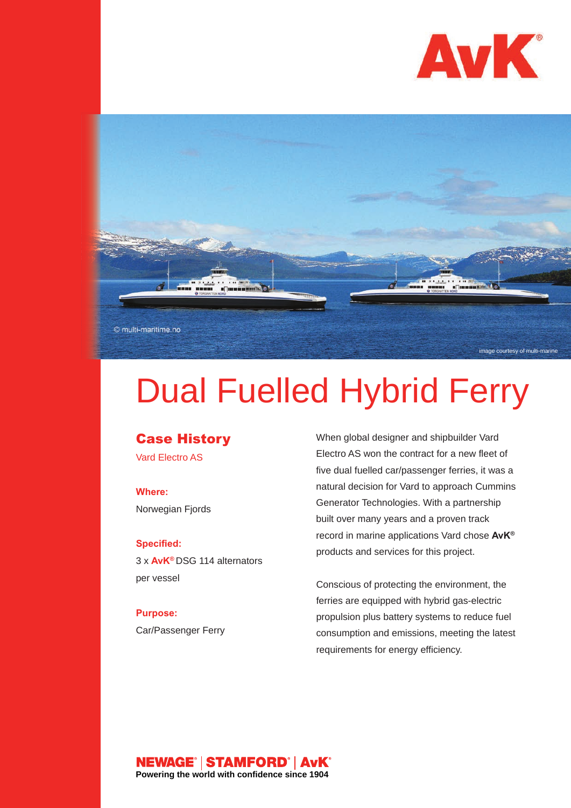



# Dual Fuelled Hybrid Ferry

## **Case History**

Vard Electro AS

### **Where:**

Norwegian Fjords

#### **Specified:**

3 x **AvK®** DSG 114 alternators per vessel

## **Purpose:** Car/Passenger Ferry

When global designer and shipbuilder Vard Electro AS won the contract for a new fleet of five dual fuelled car/passenger ferries, it was a natural decision for Vard to approach Cummins Generator Technologies. With a partnership built over many years and a proven track record in marine applications Vard chose **AvK®** products and services for this project.

Conscious of protecting the environment, the ferries are equipped with hybrid gas-electric propulsion plus battery systems to reduce fuel consumption and emissions, meeting the latest requirements for energy efficiency.

#### NEWAGE® | STAMFORD® | AvK® **Powering the world with confidence since 1904**